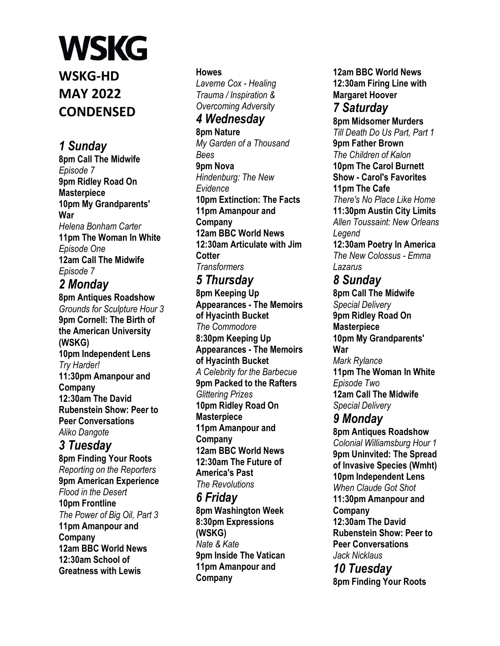**WSKG-HD MAY 2022 CONDENSED**

## *1 Sunday*

**8pm Call The Midwife**  *Episode 7*  **9pm Ridley Road On Masterpiece 10pm My Grandparents' War**  *Helena Bonham Carter*  **11pm The Woman In White**  *Episode One*  **12am Call The Midwife**  *Episode 7* 

*2 Monday* 

**8pm Antiques Roadshow**  *Grounds for Sculpture Hour 3*  **9pm Cornell: The Birth of the American University (WSKG) 10pm Independent Lens**  *Try Harder!*  **11:30pm Amanpour and Company 12:30am The David Rubenstein Show: Peer to Peer Conversations**  *Aliko Dangote* 

### *3 Tuesday*

**8pm Finding Your Roots**  *Reporting on the Reporters*  **9pm American Experience**  *Flood in the Desert*  **10pm Frontline**  *The Power of Big Oil, Part 3*  **11pm Amanpour and Company 12am BBC World News 12:30am School of Greatness with Lewis** 

#### **Howes**

*Laverne Cox - Healing Trauma / Inspiration & Overcoming Adversity* 

## *4 Wednesday*

**8pm Nature**  *My Garden of a Thousand Bees*  **9pm Nova**  *Hindenburg: The New Evidence*  **10pm Extinction: The Facts 11pm Amanpour and Company 12am BBC World News 12:30am Articulate with Jim Cotter**  *Transformers* 

#### *5 Thursday*

**8pm Keeping Up Appearances - The Memoirs of Hyacinth Bucket**  *The Commodore*  **8:30pm Keeping Up Appearances - The Memoirs of Hyacinth Bucket**  *A Celebrity for the Barbecue*  **9pm Packed to the Rafters**  *Glittering Prizes*  **10pm Ridley Road On Masterpiece 11pm Amanpour and Company 12am BBC World News 12:30am The Future of America's Past**  *The Revolutions* 

#### *6 Friday*

**8pm Washington Week 8:30pm Expressions (WSKG)**  *Nate & Kate*  **9pm Inside The Vatican 11pm Amanpour and Company** 

**12am BBC World News 12:30am Firing Line with Margaret Hoover** 

## *7 Saturday*

**8pm Midsomer Murders**  *Till Death Do Us Part, Part 1*  **9pm Father Brown**  *The Children of Kalon*  **10pm The Carol Burnett Show - Carol's Favorites 11pm The Cafe**  *There's No Place Like Home*  **11:30pm Austin City Limits**  *Allen Toussaint: New Orleans Legend*  **12:30am Poetry In America**  *The New Colossus - Emma Lazarus 8 Sunday*  **8pm Call The Midwife**  *Special Delivery* 

**9pm Ridley Road On Masterpiece 10pm My Grandparents' War**  *Mark Rylance*  **11pm The Woman In White**  *Episode Two*  **12am Call The Midwife**  *Special Delivery* 

### *9 Monday*

**8pm Antiques Roadshow**  *Colonial Williamsburg Hour 1*  **9pm Uninvited: The Spread of Invasive Species (Wmht) 10pm Independent Lens**  *When Claude Got Shot*  **11:30pm Amanpour and Company 12:30am The David Rubenstein Show: Peer to Peer Conversations**  *Jack Nicklaus* 

*10 Tuesday*  **8pm Finding Your Roots**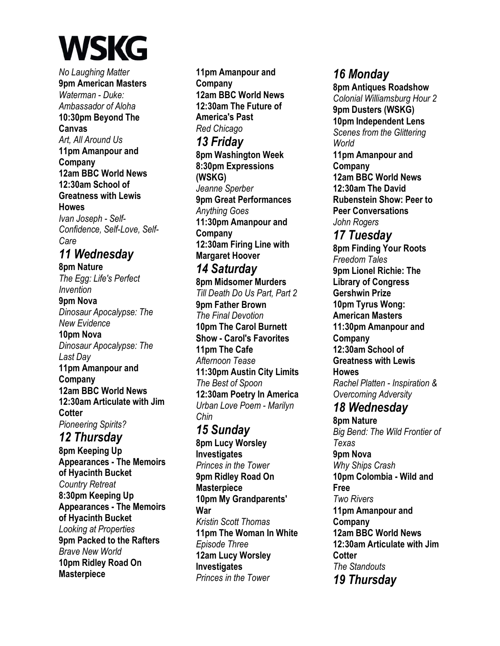*No Laughing Matter*  **9pm American Masters**  *Waterman - Duke: Ambassador of Aloha*  **10:30pm Beyond The Canvas**  *Art, All Around Us*  **11pm Amanpour and Company 12am BBC World News 12:30am School of Greatness with Lewis Howes**  *Ivan Joseph - Self-Confidence, Self-Love, Self-Care 11 Wednesday*  **8pm Nature**  *The Egg: Life's Perfect Invention*  **9pm Nova**  *Dinosaur Apocalypse: The New Evidence*  **10pm Nova**  *Dinosaur Apocalypse: The Last Day*  **11pm Amanpour and Company 12am BBC World News 12:30am Articulate with Jim Cotter**  *Pioneering Spirits? 12 Thursday*  **8pm Keeping Up Appearances - The Memoirs of Hyacinth Bucket**  *Country Retreat*  **8:30pm Keeping Up Appearances - The Memoirs of Hyacinth Bucket**  *Looking at Properties*  **9pm Packed to the Rafters**  *Brave New World*  **10pm Ridley Road On** 

**Masterpiece** 

**11pm Amanpour and Company 12am BBC World News 12:30am The Future of America's Past**  *Red Chicago 13 Friday*  **8pm Washington Week 8:30pm Expressions (WSKG)**  *Jeanne Sperber*  **9pm Great Performances**  *Anything Goes*  **11:30pm Amanpour and Company 12:30am Firing Line with Margaret Hoover**  *14 Saturday*  **8pm Midsomer Murders**  *Till Death Do Us Part, Part 2*  **9pm Father Brown**  *The Final Devotion*  **10pm The Carol Burnett Show - Carol's Favorites 11pm The Cafe**  *Afternoon Tease*  **11:30pm Austin City Limits**  *The Best of Spoon*  **12:30am Poetry In America**  *Urban Love Poem - Marilyn Chin 15 Sunday*  **8pm Lucy Worsley Investigates**  *Princes in the Tower*  **9pm Ridley Road On Masterpiece 10pm My Grandparents' War**  *Kristin Scott Thomas*  **11pm The Woman In White**  *Episode Three*  **12am Lucy Worsley Investigates**  *Princes in the Tower* 

### *16 Monday*

**8pm Antiques Roadshow**  *Colonial Williamsburg Hour 2*  **9pm Dusters (WSKG) 10pm Independent Lens**  *Scenes from the Glittering World*  **11pm Amanpour and Company 12am BBC World News 12:30am The David Rubenstein Show: Peer to Peer Conversations**  *John Rogers* 

*17 Tuesday*  **8pm Finding Your Roots**  *Freedom Tales*  **9pm Lionel Richie: The Library of Congress Gershwin Prize 10pm Tyrus Wong: American Masters 11:30pm Amanpour and Company 12:30am School of Greatness with Lewis Howes**  *Rachel Platten - Inspiration & Overcoming Adversity* 

#### *18 Wednesday*

**8pm Nature**  *Big Bend: The Wild Frontier of Texas*  **9pm Nova**  *Why Ships Crash*  **10pm Colombia - Wild and Free**  *Two Rivers*  **11pm Amanpour and Company 12am BBC World News 12:30am Articulate with Jim Cotter**  *The Standouts 19 Thursday*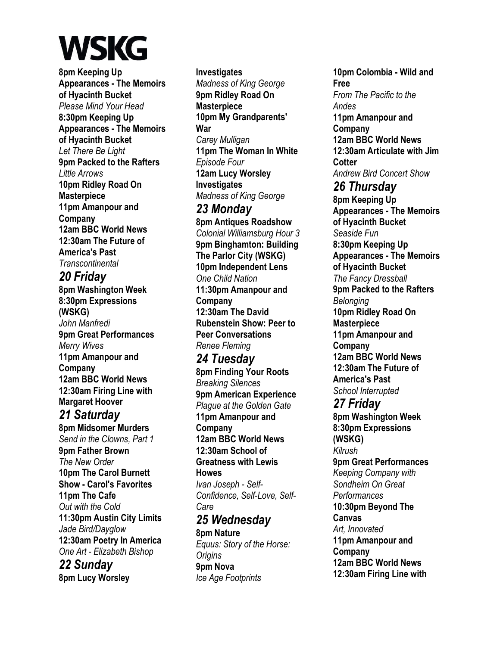**8pm Keeping Up Appearances - The Memoirs of Hyacinth Bucket**  *Please Mind Your Head*  **8:30pm Keeping Up Appearances - The Memoirs of Hyacinth Bucket**  *Let There Be Light*  **9pm Packed to the Rafters**  *Little Arrows*  **10pm Ridley Road On Masterpiece 11pm Amanpour and Company 12am BBC World News 12:30am The Future of America's Past**  *Transcontinental 20 Friday*  **8pm Washington Week 8:30pm Expressions (WSKG)**  *John Manfredi*  **9pm Great Performances**  *Merry Wives*  **11pm Amanpour and Company 12am BBC World News 12:30am Firing Line with Margaret Hoover**  *21 Saturday*  **8pm Midsomer Murders**  *Send in the Clowns, Part 1*  **9pm Father Brown** 

*The New Order*  **10pm The Carol Burnett Show - Carol's Favorites 11pm The Cafe**  *Out with the Cold*  **11:30pm Austin City Limits**  *Jade Bird/Dayglow*  **12:30am Poetry In America**  *One Art - Elizabeth Bishop* 

*22 Sunday*  **8pm Lucy Worsley** 

**Investigates**  *Madness of King George*  **9pm Ridley Road On Masterpiece 10pm My Grandparents' War**  *Carey Mulligan*  **11pm The Woman In White**  *Episode Four*  **12am Lucy Worsley Investigates**  *Madness of King George 23 Monday*  **8pm Antiques Roadshow**  *Colonial Williamsburg Hour 3*  **9pm Binghamton: Building The Parlor City (WSKG) 10pm Independent Lens**  *One Child Nation*  **11:30pm Amanpour and Company 12:30am The David Rubenstein Show: Peer to Peer Conversations**  *Renee Fleming* 

*24 Tuesday*  **8pm Finding Your Roots**  *Breaking Silences*  **9pm American Experience**  *Plague at the Golden Gate*  **11pm Amanpour and Company 12am BBC World News 12:30am School of Greatness with Lewis Howes**  *Ivan Joseph - Self-Confidence, Self-Love, Self-Care 25 Wednesday*  **8pm Nature** 

*Equus: Story of the Horse: Origins*  **9pm Nova**  *Ice Age Footprints* 

**10pm Colombia - Wild and Free**  *From The Pacific to the Andes*  **11pm Amanpour and Company 12am BBC World News 12:30am Articulate with Jim Cotter**  *Andrew Bird Concert Show 26 Thursday*  **8pm Keeping Up Appearances - The Memoirs of Hyacinth Bucket**  *Seaside Fun*  **8:30pm Keeping Up Appearances - The Memoirs of Hyacinth Bucket**  *The Fancy Dressball*  **9pm Packed to the Rafters**  *Belonging*  **10pm Ridley Road On Masterpiece 11pm Amanpour and Company 12am BBC World News 12:30am The Future of America's Past**  *School Interrupted 27 Friday* 

**8pm Washington Week 8:30pm Expressions (WSKG)**  *Kilrush*  **9pm Great Performances**  *Keeping Company with Sondheim On Great Performances*  **10:30pm Beyond The Canvas**  *Art, Innovated*  **11pm Amanpour and Company 12am BBC World News 12:30am Firing Line with**